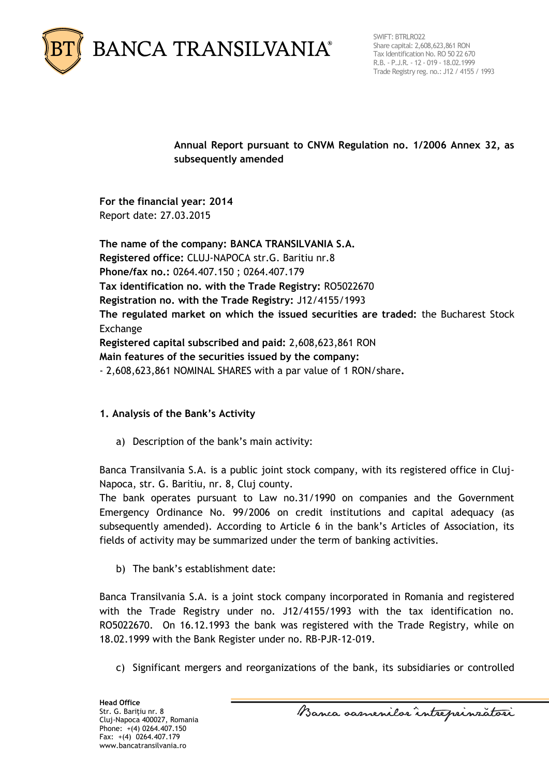

SWIFT: BTRLRO22 Share capital: 2,608,623,861 RON Tax Identification No. RO 50 22 670 R.B. - P.J.R. - 12 - 019 - 18.02.1999 Trade Registry reg. no.: J12 / 4155 / 1993

**Annual Report pursuant to CNVM Regulation no. 1/2006 Annex 32, as subsequently amended** 

**For the financial year: 2014** Report date: 27.03.2015

**The name of the company: BANCA TRANSILVANIA S.A. Registered office:** CLUJ-NAPOCA str.G. Baritiu nr.8 **Phone/fax no.:** 0264.407.150 ; 0264.407.179 **Tax identification no. with the Trade Registry:** RO5022670 **Registration no. with the Trade Registry:** J12/4155/1993 **The regulated market on which the issued securities are traded:** the Bucharest Stock Exchange **Registered capital subscribed and paid:** 2,608,623,861 RON **Main features of the securities issued by the company:** - 2,608,623,861 NOMINAL SHARES with a par value of 1 RON/share**.**

## **1. Analysis of the Bank's Activity**

a) Description of the bank's main activity:

Banca Transilvania S.A. is a public joint stock company, with its registered office in Cluj-Napoca, str. G. Baritiu, nr. 8, Cluj county.

The bank operates pursuant to Law no.31/1990 on companies and the Government Emergency Ordinance No. 99/2006 on credit institutions and capital adequacy (as subsequently amended). According to Article 6 in the bank's Articles of Association, its fields of activity may be summarized under the term of banking activities.

b) The bank's establishment date:

Banca Transilvania S.A. is a joint stock company incorporated in Romania and registered with the Trade Registry under no. J12/4155/1993 with the tax identification no. RO5022670. On 16.12.1993 the bank was registered with the Trade Registry, while on 18.02.1999 with the Bank Register under no. RB-PJR-12-019.

c) Significant mergers and reorganizations of the bank, its subsidiaries or controlled

Banca samenilor intreprinzatori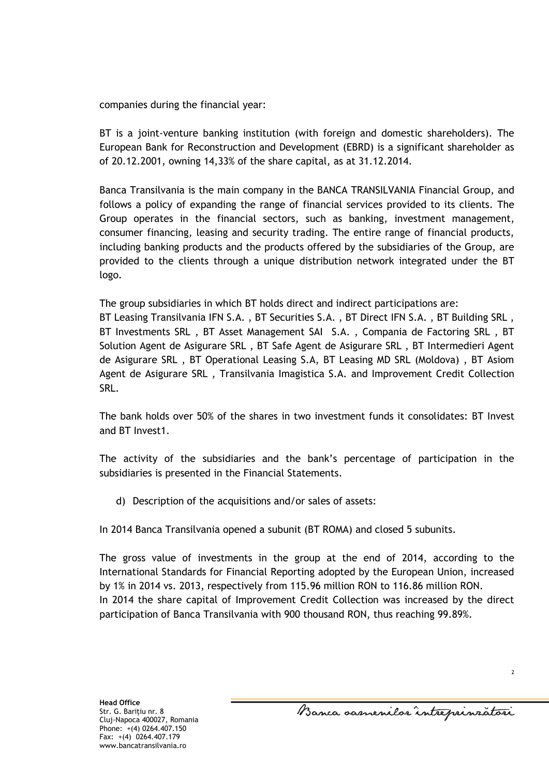companies during the financial year:

BT is a joint-venture banking institution (with foreign and domestic shareholders). The European Bank for Reconstruction and Development (EBRD) is a significant shareholder as of 20.12.2001, owning 14,33% of the share capital, as at 31.12.2014.

Banca Transilvania is the main company in the BANCA TRANSILVANIA Financial Group, and follows a policy of expanding the range of financial services provided to its clients. The Group operates in the financial sectors, such as banking, investment management, consumer financing, leasing and security trading. The entire range of financial products, including banking products and the products offered by the subsidiaries of the Group, are provided to the clients through a unique distribution network integrated under the BT logo.

The group subsidiaries in which BT holds direct and indirect participations are: BT Leasing Transilvania IFN S.A. , BT Securities S.A. , BT Direct IFN S.A. , BT Building SRL , BT Investments SRL , BT Asset Management SAI S.A. , Compania de Factoring SRL , BT Solution Agent de Asigurare SRL , BT Safe Agent de Asigurare SRL , BT Intermedieri Agent de Asigurare SRL , BT Operational Leasing S.A, BT Leasing MD SRL (Moldova) , BT Asiom Agent de Asigurare SRL , Transilvania Imagistica S.A. and Improvement Credit Collection SRL.

The bank holds over 50% of the shares in two investment funds it consolidates: BT Invest and BT Invest1.

The activity of the subsidiaries and the bank's percentage of participation in the subsidiaries is presented in the Financial Statements.

d) Description of the acquisitions and/or sales of assets:

In 2014 Banca Transilvania opened a subunit (BT ROMA) and closed 5 subunits.

The gross value of investments in the group at the end of 2014, according to the International Standards for Financial Reporting adopted by the European Union, increased by 1% in 2014 vs. 2013, respectively from 115.96 million RON to 116.86 million RON. In 2014 the share capital of Improvement Credit Collection was increased by the direct participation of Banca Transilvania with 900 thousand RON, thus reaching 99.89%.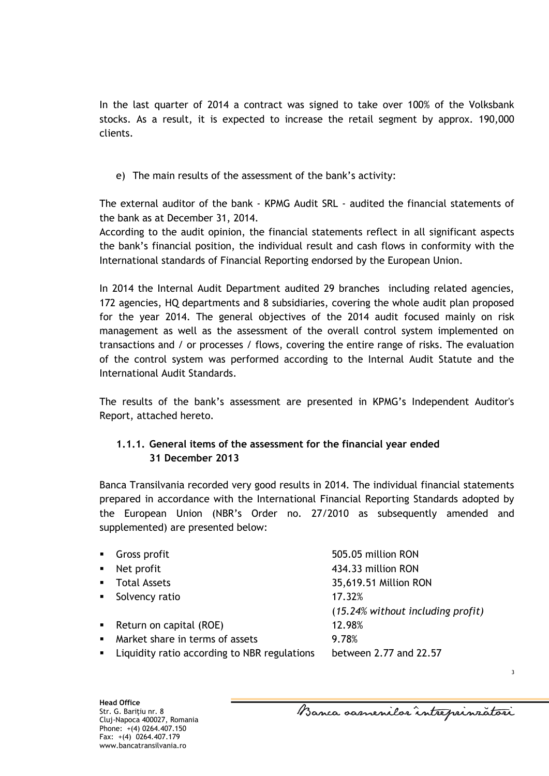In the last quarter of 2014 a contract was signed to take over 100% of the Volksbank stocks. As a result, it is expected to increase the retail segment by approx. 190,000 clients.

e) The main results of the assessment of the bank's activity:

The external auditor of the bank - KPMG Audit SRL - audited the financial statements of the bank as at December 31, 2014.

According to the audit opinion, the financial statements reflect in all significant aspects the bank's financial position, the individual result and cash flows in conformity with the International standards of Financial Reporting endorsed by the European Union.

In 2014 the Internal Audit Department audited 29 branches including related agencies, 172 agencies, HQ departments and 8 subsidiaries, covering the whole audit plan proposed for the year 2014. The general objectives of the 2014 audit focused mainly on risk management as well as the assessment of the overall control system implemented on transactions and / or processes / flows, covering the entire range of risks. The evaluation of the control system was performed according to the Internal Audit Statute and the International Audit Standards.

The results of the bank's assessment are presented in KPMG's Independent Auditor's Report, attached hereto.

## **1.1.1. General items of the assessment for the financial year ended 31 December 2013**

Banca Transilvania recorded very good results in 2014. The individual financial statements prepared in accordance with the International Financial Reporting Standards adopted by the European Union (NBR's Order no. 27/2010 as subsequently amended and supplemented) are presented below:

| • Gross profit                                 | 505.05 million RON                |
|------------------------------------------------|-----------------------------------|
| $\blacksquare$ Net profit                      | 434.33 million RON                |
| • Total Assets                                 | 35,619.51 Million RON             |
| • Solvency ratio                               | 17.32%                            |
|                                                | (15.24% without including profit) |
| • Return on capital (ROE)                      | 12.98%                            |
| • Market share in terms of assets              | 9.78%                             |
| • Liquidity ratio according to NBR regulations | between 2.77 and 22.57            |

Banca samenilor intreprinzatori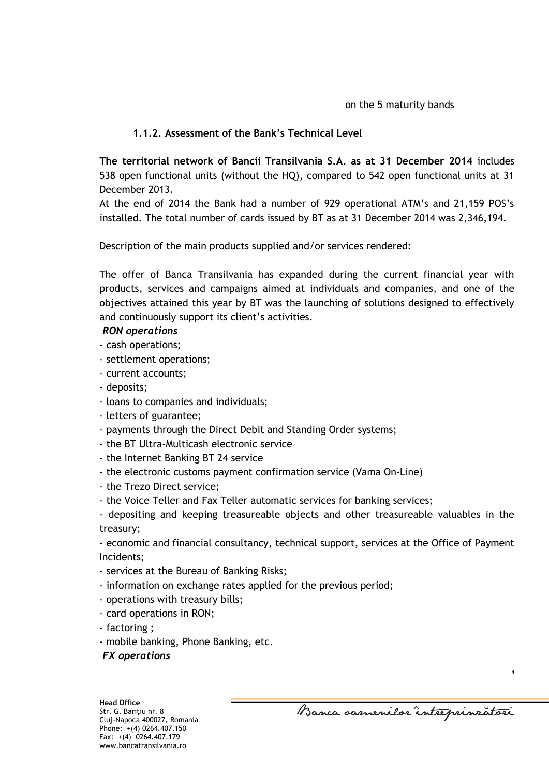## **1.1.2. Assessment of the Bank's Technical Level**

**The territorial network of Bancii Transilvania S.A. as at 31 December 2014** includes 538 open functional units (without the HQ), compared to 542 open functional units at 31 December 2013.

At the end of 2014 the Bank had a number of 929 operational ATM's and 21,159 POS's installed. The total number of cards issued by BT as at 31 December 2014 was 2,346,194.

Description of the main products supplied and/or services rendered:

The offer of Banca Transilvania has expanded during the current financial year with products, services and campaigns aimed at individuals and companies, and one of the objectives attained this year by BT was the launching of solutions designed to effectively and continuously support its client's activities.

## *RON operations*

- *-* cash operations;
- settlement operations;
- current accounts;
- deposits;
- loans to companies and individuals;
- letters of guarantee;
- payments through the Direct Debit and Standing Order systems;
- the BT Ultra-Multicash electronic service
- the Internet Banking BT 24 service
- the electronic customs payment confirmation service (Vama On-Line)
- the Trezo Direct service;
- the Voice Teller and Fax Teller automatic services for banking services;

- depositing and keeping treasureable objects and other treasureable valuables in the treasury;

- economic and financial consultancy, technical support, services at the Office of Payment Incidents;

- services at the Bureau of Banking Risks;
- information on exchange rates applied for the previous period;
- operations with treasury bills;
- card operations in RON;
- factoring ;
- mobile banking, Phone Banking, etc.
- *FX operations*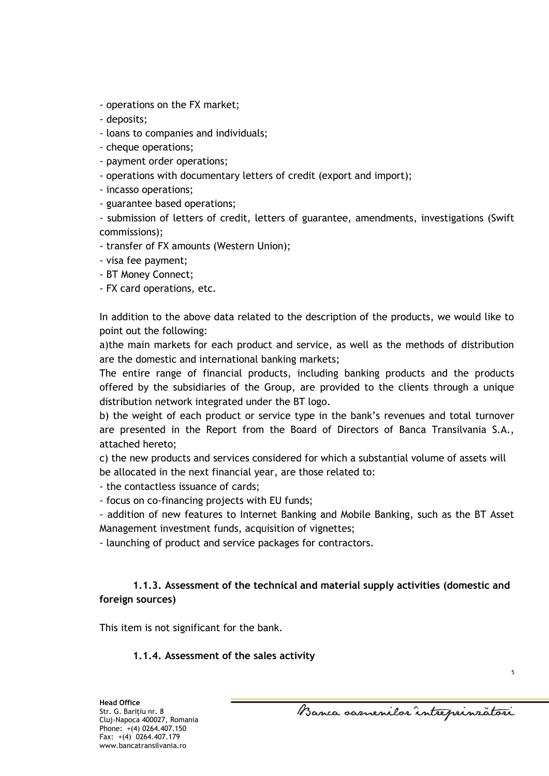- operations on the FX market;
- deposits;
- loans to companies and individuals;
- cheque operations;
- payment order operations;
- operations with documentary letters of credit (export and import);
- incasso operations;
- guarantee based operations;

- submission of letters of credit, letters of guarantee, amendments, investigations (Swift commissions);

- transfer of FX amounts (Western Union);
- visa fee payment;
- BT Money Connect;
- FX card operations, etc.

In addition to the above data related to the description of the products, we would like to point out the following:

a)the main markets for each product and service, as well as the methods of distribution are the domestic and international banking markets;

The entire range of financial products, including banking products and the products offered by the subsidiaries of the Group, are provided to the clients through a unique distribution network integrated under the BT logo.

b) the weight of each product or service type in the bank's revenues and total turnover are presented in the Report from the Board of Directors of Banca Transilvania S.A., attached hereto;

c) the new products and services considered for which a substantial volume of assets will be allocated in the next financial year, are those related to:

- the contactless issuance of cards;
- focus on co-financing projects with EU funds;

- addition of new features to Internet Banking and Mobile Banking, such as the BT Asset Management investment funds, acquisition of vignettes;

- launching of product and service packages for contractors.

## **1.1.3. Assessment of the technical and material supply activities (domestic and foreign sources)**

This item is not significant for the bank.

#### **1.1.4. Assessment of the sales activity**

Banca samenilor intreprinzatori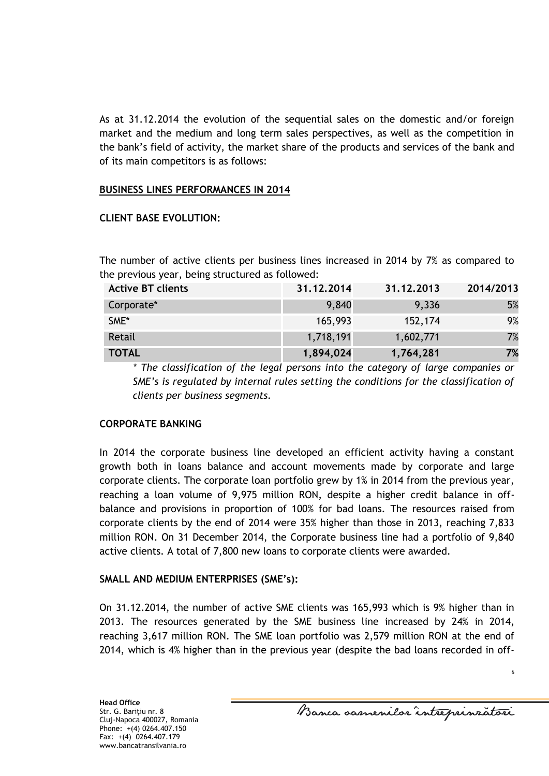As at 31.12.2014 the evolution of the sequential sales on the domestic and/or foreign market and the medium and long term sales perspectives, as well as the competition in the bank's field of activity, the market share of the products and services of the bank and of its main competitors is as follows:

#### **BUSINESS LINES PERFORMANCES IN 2014**

#### **CLIENT BASE EVOLUTION:**

The number of active clients per business lines increased in 2014 by 7% as compared to the previous year, being structured as followed:

| <b>Active BT clients</b> | 31.12.2014 | 31.12.2013 | 2014/2013 |
|--------------------------|------------|------------|-----------|
| Corporate*               | 9,840      | 9,336      | 5%        |
| SME*                     | 165,993    | 152,174    | 9%        |
| Retail                   | 1,718,191  | 1,602,771  | 7%        |
| <b>TOTAL</b>             | 1,894,024  | 1,764,281  | 7%        |

*\* The classification of the legal persons into the category of large companies or SME's is regulated by internal rules setting the conditions for the classification of clients per business segments.*

#### **CORPORATE BANKING**

In 2014 the corporate business line developed an efficient activity having a constant growth both in loans balance and account movements made by corporate and large corporate clients. The corporate loan portfolio grew by 1% in 2014 from the previous year, reaching a loan volume of 9,975 million RON, despite a higher credit balance in offbalance and provisions in proportion of 100% for bad loans. The resources raised from corporate clients by the end of 2014 were 35% higher than those in 2013, reaching 7,833 million RON. On 31 December 2014, the Corporate business line had a portfolio of 9,840 active clients. A total of 7,800 new loans to corporate clients were awarded.

#### **SMALL AND MEDIUM ENTERPRISES (SME's):**

On 31.12.2014, the number of active SME clients was 165,993 which is 9% higher than in 2013. The resources generated by the SME business line increased by 24% in 2014, reaching 3,617 million RON. The SME loan portfolio was 2,579 million RON at the end of 2014, which is 4% higher than in the previous year (despite the bad loans recorded in off-

Banca samenilor intreprinzatori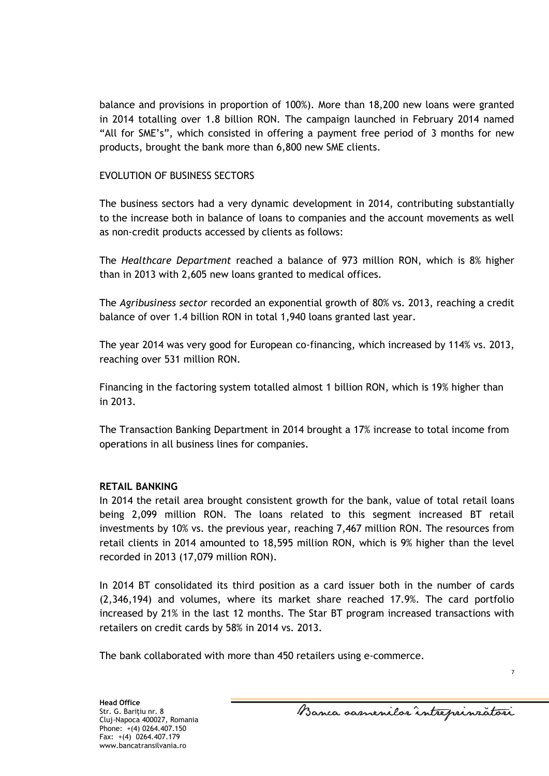balance and provisions in proportion of 100%). More than 18,200 new loans were granted in 2014 totalling over 1.8 billion RON. The campaign launched in February 2014 named "All for SME's", which consisted in offering a payment free period of 3 months for new products, brought the bank more than 6,800 new SME clients.

#### EVOLUTION OF BUSINESS SECTORS

The business sectors had a very dynamic development in 2014, contributing substantially to the increase both in balance of loans to companies and the account movements as well as non-credit products accessed by clients as follows:

The *Healthcare Department* reached a balance of 973 million RON, which is 8% higher than in 2013 with 2,605 new loans granted to medical offices.

The *Agribusiness sector* recorded an exponential growth of 80% vs. 2013, reaching a credit balance of over 1.4 billion RON in total 1,940 loans granted last year.

The year 2014 was very good for European co-financing, which increased by 114% vs. 2013, reaching over 531 million RON.

Financing in the factoring system totalled almost 1 billion RON, which is 19% higher than in 2013.

The Transaction Banking Department in 2014 brought a 17% increase to total income from operations in all business lines for companies.

#### **RETAIL BANKING**

In 2014 the retail area brought consistent growth for the bank, value of total retail loans being 2,099 million RON. The loans related to this segment increased BT retail investments by 10% vs. the previous year, reaching 7,467 million RON. The resources from retail clients in 2014 amounted to 18,595 million RON, which is 9% higher than the level recorded in 2013 (17,079 million RON).

In 2014 BT consolidated its third position as a card issuer both in the number of cards (2,346,194) and volumes, where its market share reached 17.9%. The card portfolio increased by 21% in the last 12 months. The Star BT program increased transactions with retailers on credit cards by 58% in 2014 vs. 2013.

The bank collaborated with more than 450 retailers using e-commerce.

Banca samenilor intreprinzatori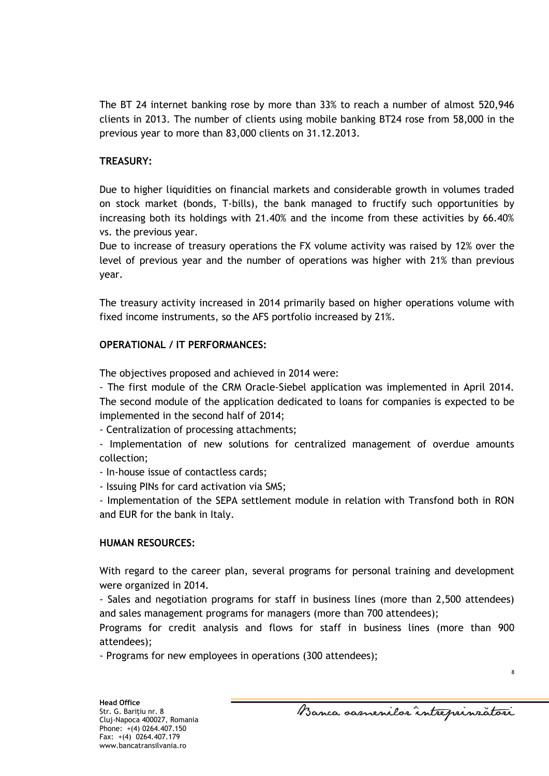The BT 24 internet banking rose by more than 33% to reach a number of almost 520,946 clients in 2013. The number of clients using mobile banking BT24 rose from 58,000 in the previous year to more than 83,000 clients on 31.12.2013.

### **TREASURY:**

Due to higher liquidities on financial markets and considerable growth in volumes traded on stock market (bonds, T-bills), the bank managed to fructify such opportunities by increasing both its holdings with 21.40% and the income from these activities by 66.40% vs. the previous year.

Due to increase of treasury operations the FX volume activity was raised by 12% over the level of previous year and the number of operations was higher with 21% than previous year.

The treasury activity increased in 2014 primarily based on higher operations volume with fixed income instruments, so the AFS portfolio increased by 21%.

#### **OPERATIONAL / IT PERFORMANCES:**

The objectives proposed and achieved in 2014 were:

- The first module of the CRM Oracle-Siebel application was implemented in April 2014. The second module of the application dedicated to loans for companies is expected to be implemented in the second half of 2014;

- Centralization of processing attachments;

- Implementation of new solutions for centralized management of overdue amounts collection;

- In-house issue of contactless cards;

- Issuing PINs for card activation via SMS;

- Implementation of the SEPA settlement module in relation with Transfond both in RON and EUR for the bank in Italy.

#### **HUMAN RESOURCES:**

With regard to the career plan, several programs for personal training and development were organized in 2014.

- Sales and negotiation programs for staff in business lines (more than 2,500 attendees) and sales management programs for managers (more than 700 attendees);

Programs for credit analysis and flows for staff in business lines (more than 900 attendees);

- Programs for new employees in operations (300 attendees);

Banca samenilor intreprinzatori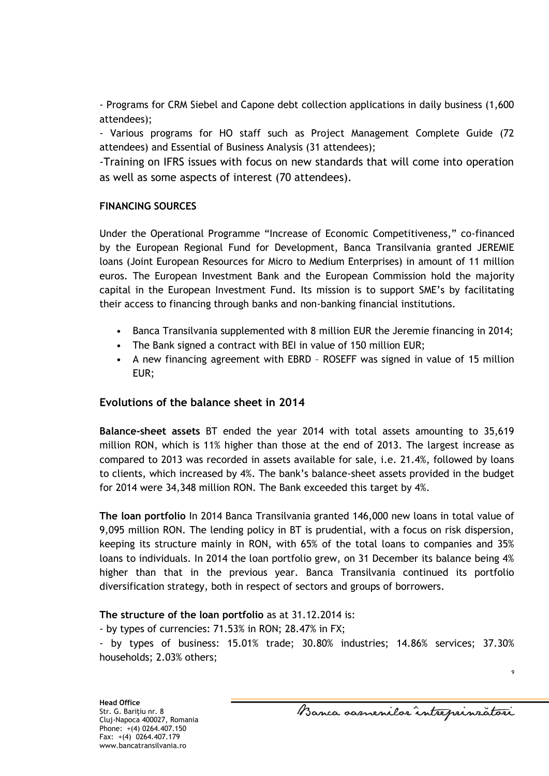- Programs for CRM Siebel and Capone debt collection applications in daily business (1,600 attendees);

- Various programs for HO staff such as Project Management Complete Guide (72 attendees) and Essential of Business Analysis (31 attendees);

-Training on IFRS issues with focus on new standards that will come into operation as well as some aspects of interest (70 attendees).

### **FINANCING SOURCES**

Under the Operational Programme "Increase of Economic Competitiveness," co-financed by the European Regional Fund for Development, Banca Transilvania granted JEREMIE loans (Joint European Resources for Micro to Medium Enterprises) in amount of 11 million euros. The European Investment Bank and the European Commission hold the majority capital in the European Investment Fund. Its mission is to support SME's by facilitating their access to financing through banks and non-banking financial institutions.

- Banca Transilvania supplemented with 8 million EUR the Jeremie financing in 2014;
- The Bank signed a contract with BEI in value of 150 million EUR;
- A new financing agreement with EBRD ROSEFF was signed in value of 15 million EUR;

## **Evolutions of the balance sheet in 2014**

**Balance-sheet assets** BT ended the year 2014 with total assets amounting to 35,619 million RON, which is 11% higher than those at the end of 2013. The largest increase as compared to 2013 was recorded in assets available for sale, i.e. 21.4%, followed by loans to clients, which increased by 4%. The bank's balance-sheet assets provided in the budget for 2014 were 34,348 million RON. The Bank exceeded this target by 4%.

**The loan portfolio** In 2014 Banca Transilvania granted 146,000 new loans in total value of 9,095 million RON. The lending policy in BT is prudential, with a focus on risk dispersion, keeping its structure mainly in RON, with 65% of the total loans to companies and 35% loans to individuals. In 2014 the loan portfolio grew, on 31 December its balance being 4% higher than that in the previous year. Banca Transilvania continued its portfolio diversification strategy, both in respect of sectors and groups of borrowers.

## **The structure of the loan portfolio** as at 31.12.2014 is:

- by types of currencies: 71.53% in RON; 28.47% in FX;

- by types of business: 15.01% trade; 30.80% industries; 14.86% services; 37.30% households; 2.03% others;

Banca samenilor intreprinsatori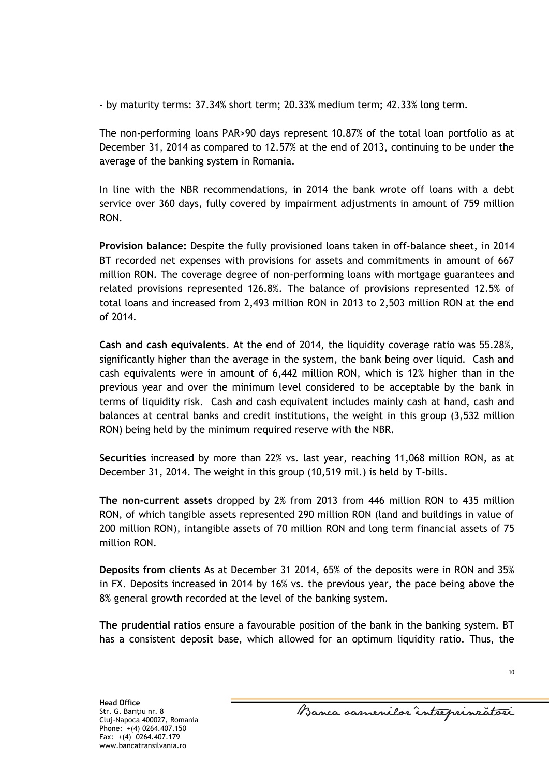- by maturity terms: 37.34% short term; 20.33% medium term; 42.33% long term.

The non-performing loans PAR>90 days represent 10.87% of the total loan portfolio as at December 31, 2014 as compared to 12.57% at the end of 2013, continuing to be under the average of the banking system in Romania.

In line with the NBR recommendations, in 2014 the bank wrote off loans with a debt service over 360 days, fully covered by impairment adjustments in amount of 759 million RON.

**Provision balance:** Despite the fully provisioned loans taken in off-balance sheet, in 2014 BT recorded net expenses with provisions for assets and commitments in amount of 667 million RON. The coverage degree of non-performing loans with mortgage guarantees and related provisions represented 126.8%. The balance of provisions represented 12.5% of total loans and increased from 2,493 million RON in 2013 to 2,503 million RON at the end of 2014.

**Cash and cash equivalents**. At the end of 2014, the liquidity coverage ratio was 55.28%, significantly higher than the average in the system, the bank being over liquid. Cash and cash equivalents were in amount of 6,442 million RON, which is 12% higher than in the previous year and over the minimum level considered to be acceptable by the bank in terms of liquidity risk. Cash and cash equivalent includes mainly cash at hand, cash and balances at central banks and credit institutions, the weight in this group (3,532 million RON) being held by the minimum required reserve with the NBR.

**Securities** increased by more than 22% vs. last year, reaching 11,068 million RON, as at December 31, 2014. The weight in this group (10,519 mil.) is held by T-bills.

**The non-current assets** dropped by 2% from 2013 from 446 million RON to 435 million RON, of which tangible assets represented 290 million RON (land and buildings in value of 200 million RON), intangible assets of 70 million RON and long term financial assets of 75 million RON.

**Deposits from clients** As at December 31 2014, 65% of the deposits were in RON and 35% in FX. Deposits increased in 2014 by 16% vs. the previous year, the pace being above the 8% general growth recorded at the level of the banking system.

**The prudential ratios** ensure a favourable position of the bank in the banking system. BT has a consistent deposit base, which allowed for an optimum liquidity ratio. Thus, the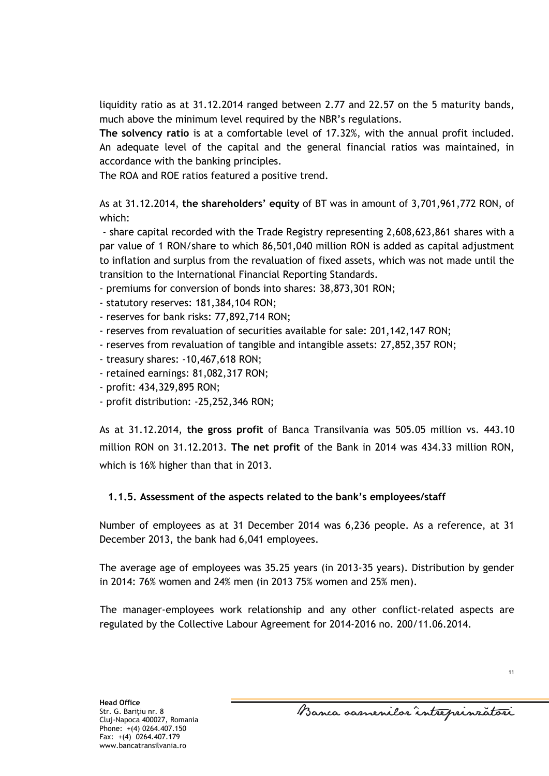liquidity ratio as at 31.12.2014 ranged between 2.77 and 22.57 on the 5 maturity bands, much above the minimum level required by the NBR's regulations.

**The solvency ratio** is at a comfortable level of 17.32%, with the annual profit included. An adequate level of the capital and the general financial ratios was maintained, in accordance with the banking principles.

The ROA and ROE ratios featured a positive trend.

As at 31.12.2014, **the shareholders' equity** of BT was in amount of 3,701,961,772 RON, of which:

- share capital recorded with the Trade Registry representing 2,608,623,861 shares with a par value of 1 RON/share to which 86,501,040 million RON is added as capital adjustment to inflation and surplus from the revaluation of fixed assets, which was not made until the transition to the International Financial Reporting Standards.

- premiums for conversion of bonds into shares: 38,873,301 RON;

- statutory reserves: 181,384,104 RON;
- reserves for bank risks: 77,892,714 RON;
- reserves from revaluation of securities available for sale: 201,142,147 RON;
- reserves from revaluation of tangible and intangible assets: 27,852,357 RON;
- treasury shares: -10,467,618 RON;
- retained earnings: 81,082,317 RON;
- profit: 434,329,895 RON;
- profit distribution: -25,252,346 RON;

As at 31.12.2014, **the gross profit** of Banca Transilvania was 505.05 million vs. 443.10 million RON on 31.12.2013. **The net profit** of the Bank in 2014 was 434.33 million RON, which is 16% higher than that in 2013.

## **1.1.5. Assessment of the aspects related to the bank's employees/staff**

Number of employees as at 31 December 2014 was 6,236 people. As a reference, at 31 December 2013, the bank had 6,041 employees.

The average age of employees was 35.25 years (in 2013-35 years). Distribution by gender in 2014: 76% women and 24% men (in 2013 75% women and 25% men).

The manager-employees work relationship and any other conflict-related aspects are regulated by the Collective Labour Agreement for 2014-2016 no. 200/11.06.2014.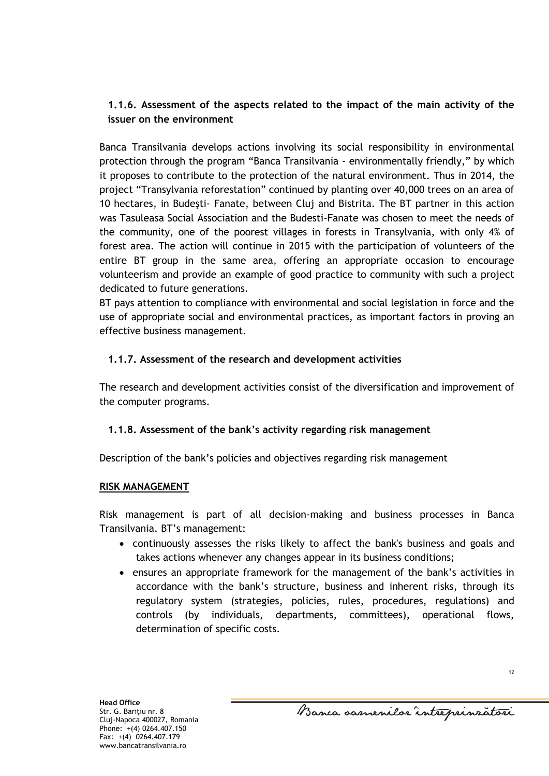## **1.1.6. Assessment of the aspects related to the impact of the main activity of the issuer on the environment**

Banca Transilvania develops actions involving its social responsibility in environmental protection through the program "Banca Transilvania - environmentally friendly," by which it proposes to contribute to the protection of the natural environment. Thus in 2014, the project "Transylvania reforestation" continued by planting over 40,000 trees on an area of 10 hectares, in Budeşti- Fanate, between Cluj and Bistrita. The BT partner in this action was Tasuleasa Social Association and the Budesti-Fanate was chosen to meet the needs of the community, one of the poorest villages in forests in Transylvania, with only 4% of forest area. The action will continue in 2015 with the participation of volunteers of the entire BT group in the same area, offering an appropriate occasion to encourage volunteerism and provide an example of good practice to community with such a project dedicated to future generations.

BT pays attention to compliance with environmental and social legislation in force and the use of appropriate social and environmental practices, as important factors in proving an effective business management.

## **1.1.7. Assessment of the research and development activities**

The research and development activities consist of the diversification and improvement of the computer programs.

## **1.1.8. Assessment of the bank's activity regarding risk management**

Description of the bank's policies and objectives regarding risk management

## **RISK MANAGEMENT**

Risk management is part of all decision-making and business processes in Banca Transilvania. BT's management:

- continuously assesses the risks likely to affect the bank's business and goals and takes actions whenever any changes appear in its business conditions;
- ensures an appropriate framework for the management of the bank's activities in accordance with the bank's structure, business and inherent risks, through its regulatory system (strategies, policies, rules, procedures, regulations) and controls (by individuals, departments, committees), operational flows, determination of specific costs.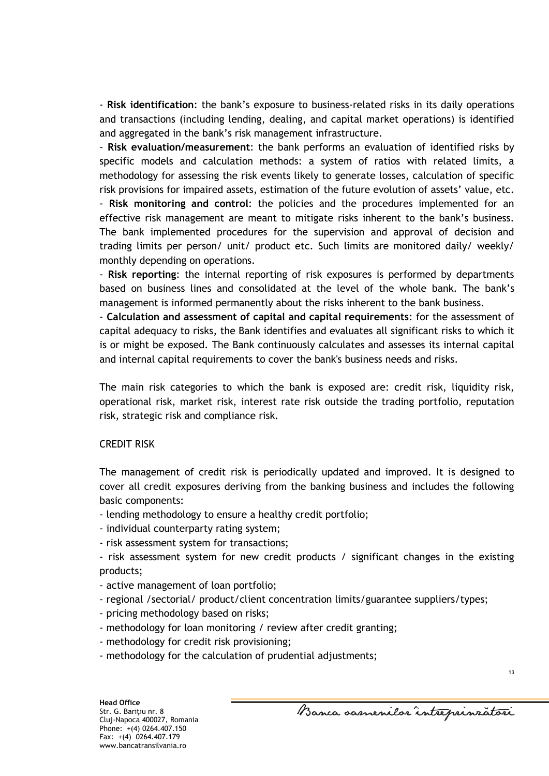- **Risk identification**: the bank's exposure to business-related risks in its daily operations and transactions (including lending, dealing, and capital market operations) is identified and aggregated in the bank's risk management infrastructure.

- **Risk evaluation/measurement**: the bank performs an evaluation of identified risks by specific models and calculation methods: a system of ratios with related limits, a methodology for assessing the risk events likely to generate losses, calculation of specific risk provisions for impaired assets, estimation of the future evolution of assets' value, etc. - **Risk monitoring and control**: the policies and the procedures implemented for an effective risk management are meant to mitigate risks inherent to the bank's business.

The bank implemented procedures for the supervision and approval of decision and trading limits per person/ unit/ product etc. Such limits are monitored daily/ weekly/ monthly depending on operations.

- **Risk reporting**: the internal reporting of risk exposures is performed by departments based on business lines and consolidated at the level of the whole bank. The bank's management is informed permanently about the risks inherent to the bank business.

- **Calculation and assessment of capital and capital requirements**: for the assessment of capital adequacy to risks, the Bank identifies and evaluates all significant risks to which it is or might be exposed. The Bank continuously calculates and assesses its internal capital and internal capital requirements to cover the bank's business needs and risks.

The main risk categories to which the bank is exposed are: credit risk, liquidity risk, operational risk, market risk, interest rate risk outside the trading portfolio, reputation risk, strategic risk and compliance risk.

#### CREDIT RISK

The management of credit risk is periodically updated and improved. It is designed to cover all credit exposures deriving from the banking business and includes the following basic components:

- lending methodology to ensure a healthy credit portfolio;

- individual counterparty rating system;

- risk assessment system for transactions;

- risk assessment system for new credit products / significant changes in the existing products;

- active management of loan portfolio;
- regional /sectorial/ product/client concentration limits/guarantee suppliers/types;
- pricing methodology based on risks;
- methodology for loan monitoring / review after credit granting;
- methodology for credit risk provisioning;
- methodology for the calculation of prudential adjustments;

Banca samenilor intreprinzatori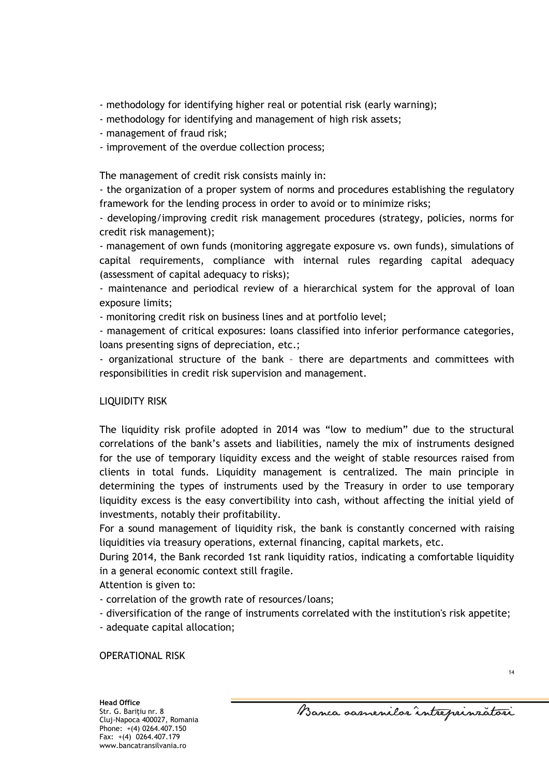- methodology for identifying higher real or potential risk (early warning);
- methodology for identifying and management of high risk assets;
- management of fraud risk;
- improvement of the overdue collection process;

The management of credit risk consists mainly in:

- the organization of a proper system of norms and procedures establishing the regulatory framework for the lending process in order to avoid or to minimize risks;

- developing/improving credit risk management procedures (strategy, policies, norms for credit risk management);

- management of own funds (monitoring aggregate exposure vs. own funds), simulations of capital requirements, compliance with internal rules regarding capital adequacy (assessment of capital adequacy to risks);

- maintenance and periodical review of a hierarchical system for the approval of loan exposure limits;

- monitoring credit risk on business lines and at portfolio level;

- management of critical exposures: loans classified into inferior performance categories, loans presenting signs of depreciation, etc.;

- organizational structure of the bank – there are departments and committees with responsibilities in credit risk supervision and management.

## LIQUIDITY RISK

The liquidity risk profile adopted in 2014 was "low to medium" due to the structural correlations of the bank's assets and liabilities, namely the mix of instruments designed for the use of temporary liquidity excess and the weight of stable resources raised from clients in total funds. Liquidity management is centralized. The main principle in determining the types of instruments used by the Treasury in order to use temporary liquidity excess is the easy convertibility into cash, without affecting the initial yield of investments, notably their profitability.

For a sound management of liquidity risk, the bank is constantly concerned with raising liquidities via treasury operations, external financing, capital markets, etc.

During 2014, the Bank recorded 1st rank liquidity ratios, indicating a comfortable liquidity in a general economic context still fragile.

Attention is given to:

- correlation of the growth rate of resources/loans;
- diversification of the range of instruments correlated with the institution's risk appetite;

- adequate capital allocation;

OPERATIONAL RISK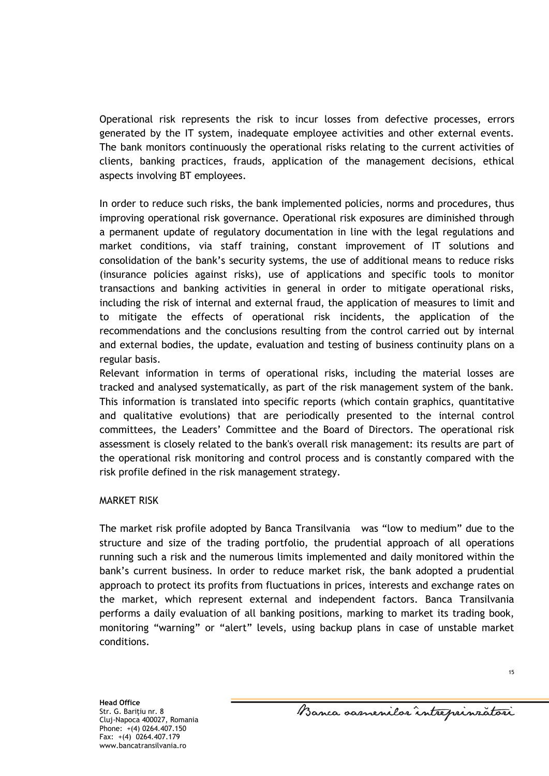Operational risk represents the risk to incur losses from defective processes, errors generated by the IT system, inadequate employee activities and other external events. The bank monitors continuously the operational risks relating to the current activities of clients, banking practices, frauds, application of the management decisions, ethical aspects involving BT employees.

In order to reduce such risks, the bank implemented policies, norms and procedures, thus improving operational risk governance. Operational risk exposures are diminished through a permanent update of regulatory documentation in line with the legal regulations and market conditions, via staff training, constant improvement of IT solutions and consolidation of the bank's security systems, the use of additional means to reduce risks (insurance policies against risks), use of applications and specific tools to monitor transactions and banking activities in general in order to mitigate operational risks, including the risk of internal and external fraud, the application of measures to limit and to mitigate the effects of operational risk incidents, the application of the recommendations and the conclusions resulting from the control carried out by internal and external bodies, the update, evaluation and testing of business continuity plans on a regular basis.

Relevant information in terms of operational risks, including the material losses are tracked and analysed systematically, as part of the risk management system of the bank. This information is translated into specific reports (which contain graphics, quantitative and qualitative evolutions) that are periodically presented to the internal control committees, the Leaders' Committee and the Board of Directors. The operational risk assessment is closely related to the bank's overall risk management: its results are part of the operational risk monitoring and control process and is constantly compared with the risk profile defined in the risk management strategy.

#### MARKET RISK

The market risk profile adopted by Banca Transilvania was "low to medium" due to the structure and size of the trading portfolio, the prudential approach of all operations running such a risk and the numerous limits implemented and daily monitored within the bank's current business. In order to reduce market risk, the bank adopted a prudential approach to protect its profits from fluctuations in prices, interests and exchange rates on the market, which represent external and independent factors. Banca Transilvania performs a daily evaluation of all banking positions, marking to market its trading book, monitoring "warning" or "alert" levels, using backup plans in case of unstable market conditions.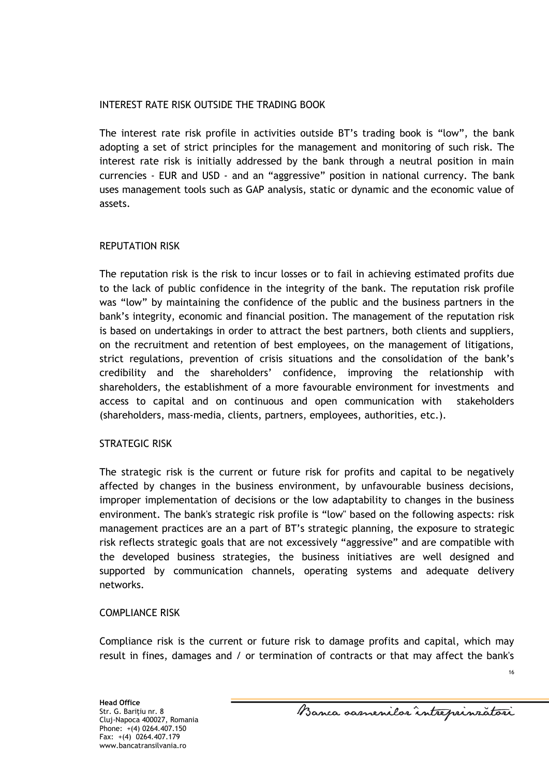### INTEREST RATE RISK OUTSIDE THE TRADING BOOK

The interest rate risk profile in activities outside BT's trading book is "low", the bank adopting a set of strict principles for the management and monitoring of such risk. The interest rate risk is initially addressed by the bank through a neutral position in main currencies - EUR and USD - and an "aggressive" position in national currency. The bank uses management tools such as GAP analysis, static or dynamic and the economic value of assets.

## REPUTATION RISK

The reputation risk is the risk to incur losses or to fail in achieving estimated profits due to the lack of public confidence in the integrity of the bank. The reputation risk profile was "low" by maintaining the confidence of the public and the business partners in the bank's integrity, economic and financial position. The management of the reputation risk is based on undertakings in order to attract the best partners, both clients and suppliers, on the recruitment and retention of best employees, on the management of litigations, strict regulations, prevention of crisis situations and the consolidation of the bank's credibility and the shareholders' confidence, improving the relationship with shareholders, the establishment of a more favourable environment for investments and access to capital and on continuous and open communication with stakeholders (shareholders, mass-media, clients, partners, employees, authorities, etc.).

#### STRATEGIC RISK

The strategic risk is the current or future risk for profits and capital to be negatively affected by changes in the business environment, by unfavourable business decisions, improper implementation of decisions or the low adaptability to changes in the business environment. The bank's strategic risk profile is "low" based on the following aspects: risk management practices are an a part of BT's strategic planning, the exposure to strategic risk reflects strategic goals that are not excessively "aggressive" and are compatible with the developed business strategies, the business initiatives are well designed and supported by communication channels, operating systems and adequate delivery networks.

#### COMPLIANCE RISK

Compliance risk is the current or future risk to damage profits and capital, which may result in fines, damages and / or termination of contracts or that may affect the bank's

Banca samenilor intreprinzatori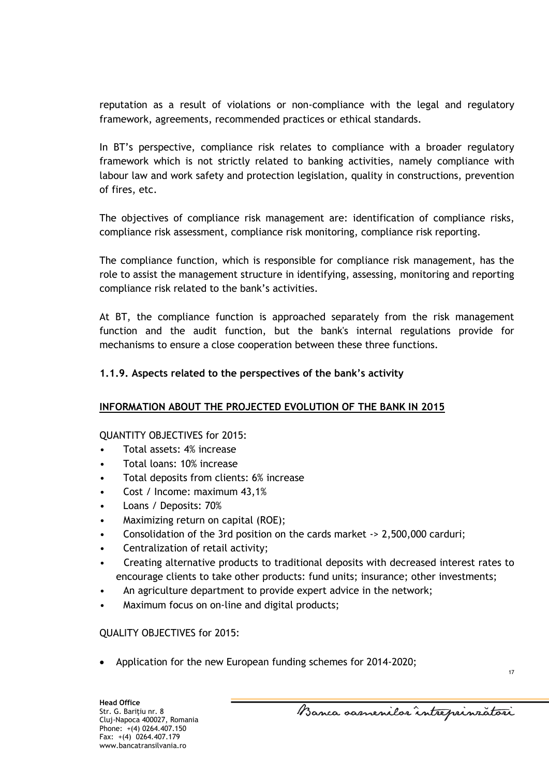reputation as a result of violations or non-compliance with the legal and regulatory framework, agreements, recommended practices or ethical standards.

In BT's perspective, compliance risk relates to compliance with a broader regulatory framework which is not strictly related to banking activities, namely compliance with labour law and work safety and protection legislation, quality in constructions, prevention of fires, etc.

The objectives of compliance risk management are: identification of compliance risks, compliance risk assessment, compliance risk monitoring, compliance risk reporting.

The compliance function, which is responsible for compliance risk management, has the role to assist the management structure in identifying, assessing, monitoring and reporting compliance risk related to the bank's activities.

At BT, the compliance function is approached separately from the risk management function and the audit function, but the bank's internal regulations provide for mechanisms to ensure a close cooperation between these three functions.

## **1.1.9. Aspects related to the perspectives of the bank's activity**

## **INFORMATION ABOUT THE PROJECTED EVOLUTION OF THE BANK IN 2015**

#### QUANTITY OBJECTIVES for 2015:

- Total assets: 4% increase
- Total loans: 10% increase
- Total deposits from clients: 6% increase
- Cost / Income: maximum 43,1%
- Loans / Deposits: 70%
- Maximizing return on capital (ROE);
- Consolidation of the 3rd position on the cards market -> 2,500,000 carduri;
- Centralization of retail activity;
- Creating alternative products to traditional deposits with decreased interest rates to encourage clients to take other products: fund units; insurance; other investments;
- An agriculture department to provide expert advice in the network;
- Maximum focus on on-line and digital products;

## QUALITY OBJECTIVES for 2015:

Application for the new European funding schemes for 2014-2020;

Banca samenilor intreprinzatori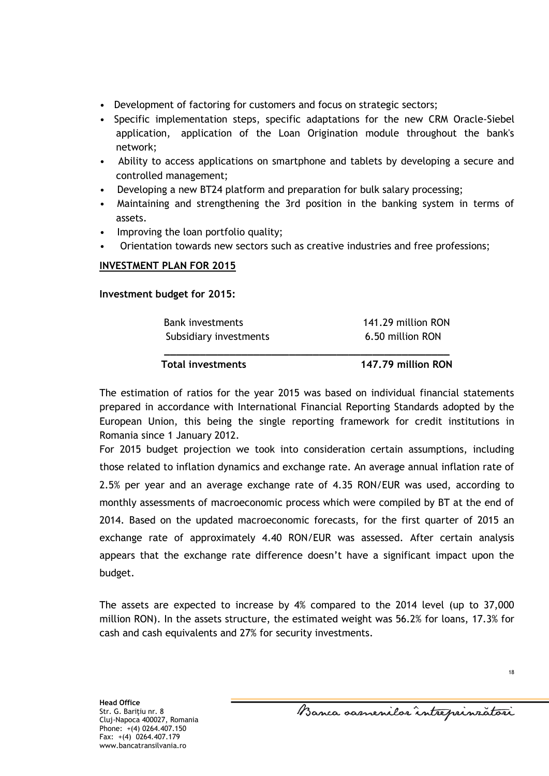- Development of factoring for customers and focus on strategic sectors;
- Specific implementation steps, specific adaptations for the new CRM Oracle-Siebel application, application of the Loan Origination module throughout the bank's network;
- Ability to access applications on smartphone and tablets by developing a secure and controlled management;
- Developing a new BT24 platform and preparation for bulk salary processing;
- Maintaining and strengthening the 3rd position in the banking system in terms of assets.
- Improving the loan portfolio quality;
- Orientation towards new sectors such as creative industries and free professions;

### **INVESTMENT PLAN FOR 2015**

**Investment budget for 2015:**

| <b>Total investments</b> | 147.79 million RON |
|--------------------------|--------------------|
| Subsidiary investments   | 6.50 million RON   |
| <b>Bank investments</b>  | 141.29 million RON |

The estimation of ratios for the year 2015 was based on individual financial statements prepared in accordance with International Financial Reporting Standards adopted by the European Union, this being the single reporting framework for credit institutions in Romania since 1 January 2012.

For 2015 budget projection we took into consideration certain assumptions, including those related to inflation dynamics and exchange rate. An average annual inflation rate of 2.5% per year and an average exchange rate of 4.35 RON/EUR was used, according to monthly assessments of macroeconomic process which were compiled by BT at the end of 2014. Based on the updated macroeconomic forecasts, for the first quarter of 2015 an exchange rate of approximately 4.40 RON/EUR was assessed. After certain analysis appears that the exchange rate difference doesn't have a significant impact upon the budget.

The assets are expected to increase by 4% compared to the 2014 level (up to 37,000 million RON). In the assets structure, the estimated weight was 56.2% for loans, 17.3% for cash and cash equivalents and 27% for security investments.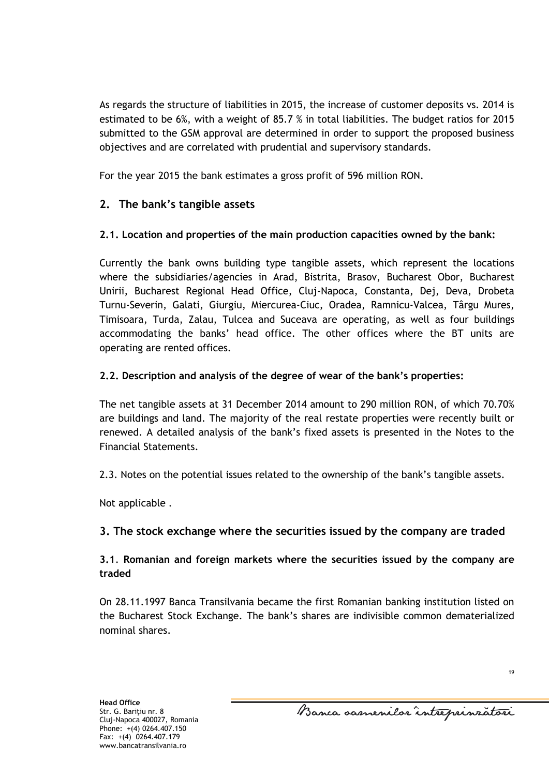As regards the structure of liabilities in 2015, the increase of customer deposits vs. 2014 is estimated to be 6%, with a weight of 85.7 % in total liabilities. The budget ratios for 2015 submitted to the GSM approval are determined in order to support the proposed business objectives and are correlated with prudential and supervisory standards.

For the year 2015 the bank estimates a gross profit of 596 million RON.

# **2. The bank's tangible assets**

## **2.1. Location and properties of the main production capacities owned by the bank:**

Currently the bank owns building type tangible assets, which represent the locations where the subsidiaries/agencies in Arad, Bistrita, Brasov, Bucharest Obor, Bucharest Unirii, Bucharest Regional Head Office, Cluj-Napoca, Constanta, Dej, Deva, Drobeta Turnu-Severin, Galati, Giurgiu, Miercurea-Ciuc, Oradea, Ramnicu-Valcea, Târgu Mures, Timisoara, Turda, Zalau, Tulcea and Suceava are operating, as well as four buildings accommodating the banks' head office. The other offices where the BT units are operating are rented offices.

## **2.2. Description and analysis of the degree of wear of the bank's properties:**

The net tangible assets at 31 December 2014 amount to 290 million RON, of which 70.70% are buildings and land. The majority of the real restate properties were recently built or renewed. A detailed analysis of the bank's fixed assets is presented in the Notes to the Financial Statements.

2.3. Notes on the potential issues related to the ownership of the bank's tangible assets.

Not applicable .

## **3. The stock exchange where the securities issued by the company are traded**

## **3.1**. **Romanian and foreign markets where the securities issued by the company are traded**

On 28.11.1997 Banca Transilvania became the first Romanian banking institution listed on the Bucharest Stock Exchange. The bank's shares are indivisible common dematerialized nominal shares.

Banca samenilor intreprinzatori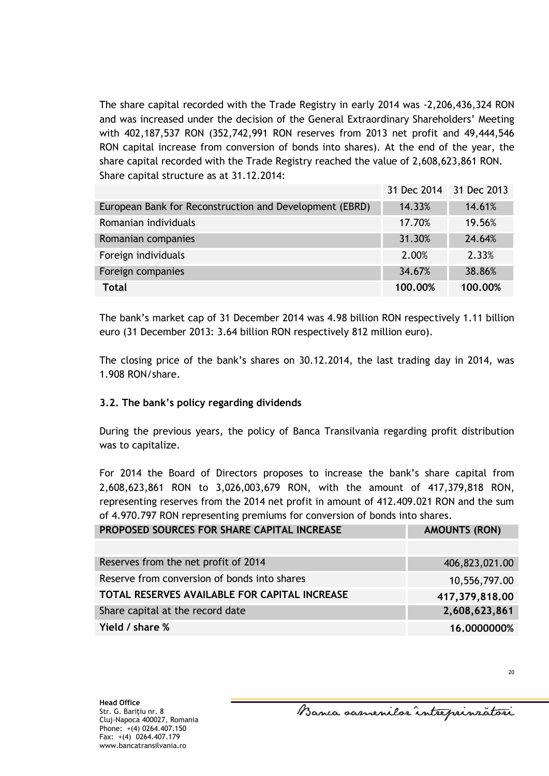The share capital recorded with the Trade Registry in early 2014 was -2,206,436,324 RON and was increased under the decision of the General Extraordinary Shareholders' Meeting with 402,187,537 RON (352,742,991 RON reserves from 2013 net profit and 49,444,546 RON capital increase from conversion of bonds into shares). At the end of the year, the share capital recorded with the Trade Registry reached the value of 2,608,623,861 RON. Share capital structure as at 31.12.2014:

|                                                         | 31 Dec 2014 31 Dec 2013 |         |
|---------------------------------------------------------|-------------------------|---------|
| European Bank for Reconstruction and Development (EBRD) | 14.33%                  | 14.61%  |
| Romanian individuals                                    | 17.70%                  | 19.56%  |
| Romanian companies                                      | 31.30%                  | 24.64%  |
| Foreign individuals                                     | 2.00%                   | 2.33%   |
| Foreign companies                                       | 34.67%                  | 38.86%  |
| <b>Total</b>                                            | 100.00%                 | 100.00% |

The bank's market cap of 31 December 2014 was 4.98 billion RON respectively 1.11 billion euro (31 December 2013: 3.64 billion RON respectively 812 million euro).

The closing price of the bank's shares on 30.12.2014, the last trading day in 2014, was 1.908 RON/share.

## **3.2. The bank's policy regarding dividends**

During the previous years, the policy of Banca Transilvania regarding profit distribution was to capitalize.

For 2014 the Board of Directors proposes to increase the bank's share capital from 2,608,623,861 RON to 3,026,003,679 RON, with the amount of 417,379,818 RON, representing reserves from the 2014 net profit in amount of 412.409.021 RON and the sum of 4.970.797 RON representing premiums for conversion of bonds into shares.

| PROPOSED SOURCES FOR SHARE CAPITAL INCREASE   | <b>AMOUNTS (RON)</b> |
|-----------------------------------------------|----------------------|
|                                               |                      |
| Reserves from the net profit of 2014          | 406,823,021.00       |
| Reserve from conversion of bonds into shares  | 10,556,797.00        |
| TOTAL RESERVES AVAILABLE FOR CAPITAL INCREASE | 417,379,818.00       |
| Share capital at the record date              | 2,608,623,861        |
| Yield / share %                               | 16.0000000%          |

31 Dec 2014 31 Dec 2013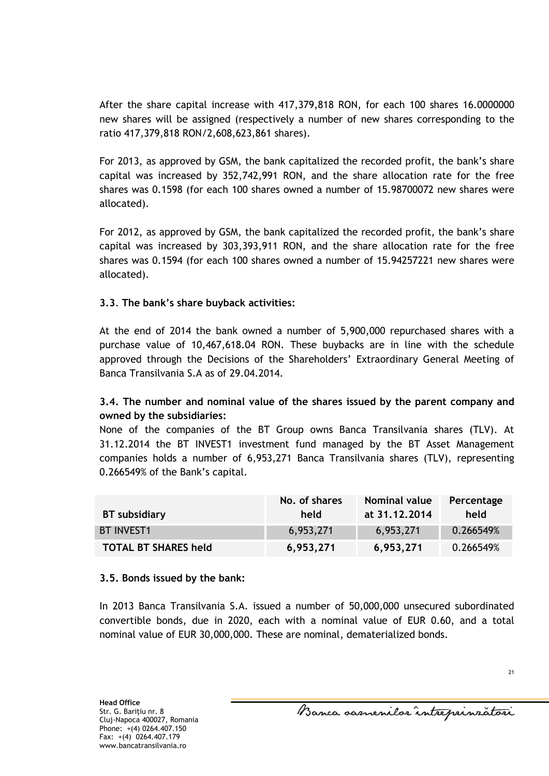After the share capital increase with 417,379,818 RON, for each 100 shares 16.0000000 new shares will be assigned (respectively a number of new shares corresponding to the ratio 417,379,818 RON/2,608,623,861 shares).

For 2013, as approved by GSM, the bank capitalized the recorded profit, the bank's share capital was increased by 352,742,991 RON, and the share allocation rate for the free shares was 0.1598 (for each 100 shares owned a number of 15.98700072 new shares were allocated).

For 2012, as approved by GSM, the bank capitalized the recorded profit, the bank's share capital was increased by 303,393,911 RON, and the share allocation rate for the free shares was 0.1594 (for each 100 shares owned a number of 15.94257221 new shares were allocated).

## **3.3**. **The bank's share buyback activities:**

At the end of 2014 the bank owned a number of 5,900,000 repurchased shares with a purchase value of 10,467,618.04 RON. These buybacks are in line with the schedule approved through the Decisions of the Shareholders' Extraordinary General Meeting of Banca Transilvania S.A as of 29.04.2014.

## **3.4. The number and nominal value of the shares issued by the parent company and owned by the subsidiaries:**

None of the companies of the BT Group owns Banca Transilvania shares (TLV). At 31.12.2014 the BT INVEST1 investment fund managed by the BT Asset Management companies holds a number of 6,953,271 Banca Transilvania shares (TLV), representing 0.266549% of the Bank's capital.

| BT subsidiary               | No. of shares<br>held | <b>Nominal value</b><br>at 31.12.2014 | Percentage<br>held |
|-----------------------------|-----------------------|---------------------------------------|--------------------|
| <b>BT INVEST1</b>           | 6,953,271             | 6,953,271                             | 0.266549%          |
| <b>TOTAL BT SHARES held</b> | 6,953,271             | 6,953,271                             | 0.266549%          |

#### **3.5. Bonds issued by the bank:**

In 2013 Banca Transilvania S.A. issued a number of 50,000,000 unsecured subordinated convertible bonds, due in 2020, each with a nominal value of EUR 0.60, and a total nominal value of EUR 30,000,000. These are nominal, dematerialized bonds.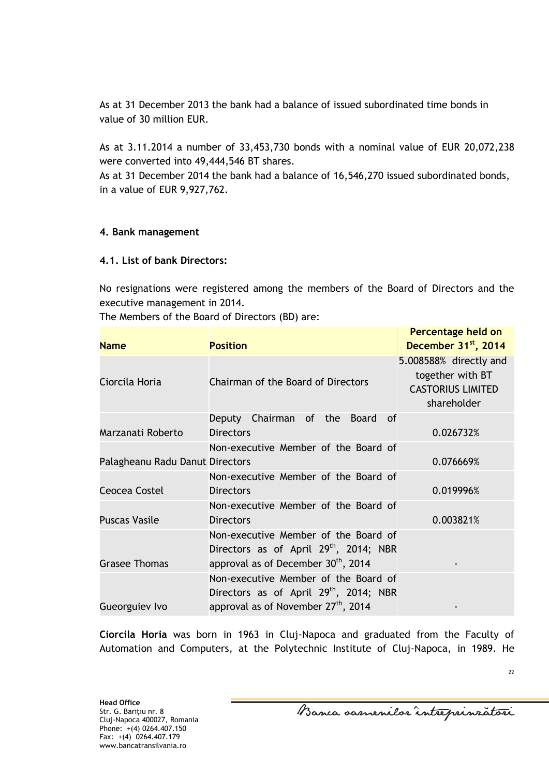As at 31 December 2013 the bank had a balance of issued subordinated time bonds in value of 30 million EUR.

As at 3.11.2014 a number of 33,453,730 bonds with a nominal value of EUR 20,072,238 were converted into 49,444,546 BT shares.

As at 31 December 2014 the bank had a balance of 16,546,270 issued subordinated bonds, in a value of EUR 9,927,762.

#### **4. Bank management**

### **4.1. List of bank Directors:**

No resignations were registered among the members of the Board of Directors and the executive management in 2014.

The Members of the Board of Directors (BD) are:

| <b>Name</b>                     | <b>Position</b>                                                                                                                               | Percentage held on<br>December 31 <sup>st</sup> , 2014                                |
|---------------------------------|-----------------------------------------------------------------------------------------------------------------------------------------------|---------------------------------------------------------------------------------------|
| Ciorcila Horia                  | Chairman of the Board of Directors                                                                                                            | 5.008588% directly and<br>together with BT<br><b>CASTORIUS LIMITED</b><br>shareholder |
| Marzanati Roberto               | Deputy Chairman of<br>Board<br>the<br>0f<br><b>Directors</b>                                                                                  | 0.026732%                                                                             |
| Palagheanu Radu Danut Directors | Non-executive Member of the Board of                                                                                                          | 0.076669%                                                                             |
| Ceocea Costel                   | Non-executive Member of the Board of<br><b>Directors</b>                                                                                      | 0.019996%                                                                             |
| <b>Puscas Vasile</b>            | Non-executive Member of the Board of<br><b>Directors</b>                                                                                      | 0.003821%                                                                             |
| <b>Grasee Thomas</b>            | Non-executive Member of the Board of<br>Directors as of April 29th, 2014; NBR<br>approval as of December 30 <sup>th</sup> , 2014              |                                                                                       |
| Gueorguiev Ivo                  | Non-executive Member of the Board of<br>Directors as of April 29 <sup>th</sup> , 2014; NBR<br>approval as of November 27 <sup>th</sup> , 2014 |                                                                                       |

**Ciorcila Horia** was born in 1963 in Cluj-Napoca and graduated from the Faculty of Automation and Computers, at the Polytechnic Institute of Cluj-Napoca, in 1989. He

**Head Office** Str. G. Bariţiu nr. 8 Cluj-Napoca 400027, Romania Phone: +(4) 0264.407.150 Fax:  $+(4)$  0264.407.179 www.bancatransilvania.ro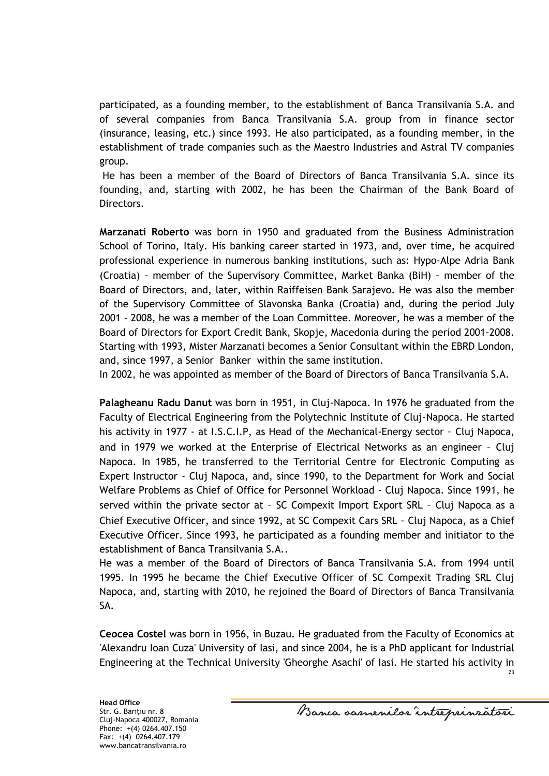participated, as a founding member, to the establishment of Banca Transilvania S.A. and of several companies from Banca Transilvania S.A. group from in finance sector (insurance, leasing, etc.) since 1993. He also participated, as a founding member, in the establishment of trade companies such as the Maestro Industries and Astral TV companies group.

He has been a member of the Board of Directors of Banca Transilvania S.A. since its founding, and, starting with 2002, he has been the Chairman of the Bank Board of Directors.

**Marzanati Roberto** was born in 1950 and graduated from the Business Administration School of Torino, Italy. His banking career started in 1973, and, over time, he acquired professional experience in numerous banking institutions, such as: Hypo-Alpe Adria Bank (Croatia) – member of the Supervisory Committee, Market Banka (BiH) – member of the Board of Directors, and, later, within Raiffeisen Bank Sarajevo. He was also the member of the Supervisory Committee of Slavonska Banka (Croatia) and, during the period July 2001 - 2008, he was a member of the Loan Committee. Moreover, he was a member of the Board of Directors for Export Credit Bank, Skopje, Macedonia during the period 2001-2008. Starting with 1993, Mister Marzanati becomes a Senior Consultant within the EBRD London, and, since 1997, a Senior Banker within the same institution.

In 2002, he was appointed as member of the Board of Directors of Banca Transilvania S.A.

**Palagheanu Radu Danut** was born in 1951, in Cluj-Napoca. In 1976 he graduated from the Faculty of Electrical Engineering from the Polytechnic Institute of Cluj-Napoca. He started his activity in 1977 - at I.S.C.I.P, as Head of the Mechanical-Energy sector - Cluj Napoca, and in 1979 we worked at the Enterprise of Electrical Networks as an engineer – Cluj Napoca. In 1985, he transferred to the Territorial Centre for Electronic Computing as Expert Instructor - Cluj Napoca, and, since 1990, to the Department for Work and Social Welfare Problems as Chief of Office for Personnel Workload - Cluj Napoca. Since 1991, he served within the private sector at – SC Compexit Import Export SRL – Cluj Napoca as a Chief Executive Officer, and since 1992, at SC Compexit Cars SRL – Cluj Napoca, as a Chief Executive Officer. Since 1993, he participated as a founding member and initiator to the establishment of Banca Transilvania S.A..

He was a member of the Board of Directors of Banca Transilvania S.A. from 1994 until 1995. In 1995 he became the Chief Executive Officer of SC Compexit Trading SRL Cluj Napoca, and, starting with 2010, he rejoined the Board of Directors of Banca Transilvania SA.

**Ceocea Costel** was born in 1956, in Buzau. He graduated from the Faculty of Economics at 'Alexandru Ioan Cuza' University of Iasi, and since 2004, he is a PhD applicant for Industrial Engineering at the Technical University 'Gheorghe Asachi' of Iasi. He started his activity in

Banca samenilor intreprinzatori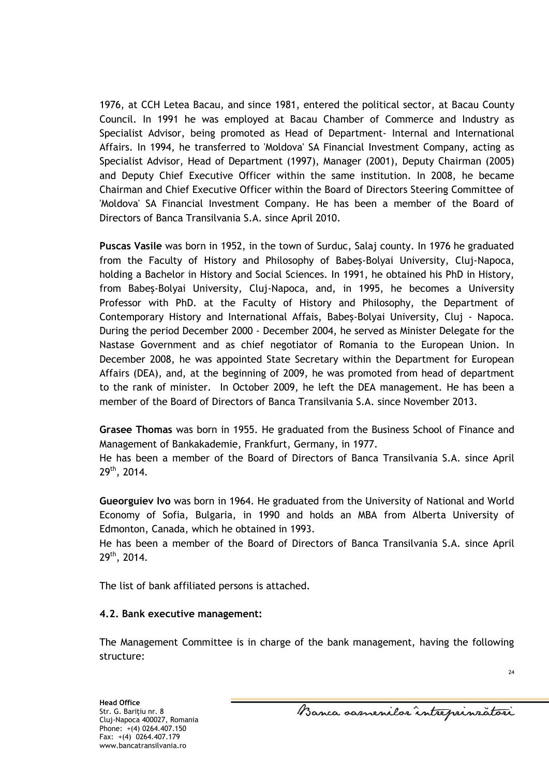1976, at CCH Letea Bacau, and since 1981, entered the political sector, at Bacau County Council. In 1991 he was employed at Bacau Chamber of Commerce and Industry as Specialist Advisor, being promoted as Head of Department- Internal and International Affairs. In 1994, he transferred to 'Moldova' SA Financial Investment Company, acting as Specialist Advisor, Head of Department (1997), Manager (2001), Deputy Chairman (2005) and Deputy Chief Executive Officer within the same institution. In 2008, he became Chairman and Chief Executive Officer within the Board of Directors Steering Committee of 'Moldova' SA Financial Investment Company. He has been a member of the Board of Directors of Banca Transilvania S.A. since April 2010.

**Puscas Vasile** was born in 1952, in the town of Surduc, Salaj county. In 1976 he graduated from the Faculty of History and Philosophy of Babeş-Bolyai University, Cluj-Napoca, holding a Bachelor in History and Social Sciences. In 1991, he obtained his PhD in History, from Babeş-Bolyai University, Cluj-Napoca, and, in 1995, he becomes a University Professor with PhD. at the Faculty of History and Philosophy, the Department of Contemporary History and International Affais, Babeş-Bolyai University, Cluj - Napoca. During the period December 2000 - December 2004, he served as Minister Delegate for the Nastase Government and as chief negotiator of Romania to the European Union. In December 2008, he was appointed State Secretary within the Department for European Affairs (DEA), and, at the beginning of 2009, he was promoted from head of department to the rank of minister. In October 2009, he left the DEA management. He has been a member of the Board of Directors of Banca Transilvania S.A. since November 2013.

**Grasee Thomas** was born in 1955. He graduated from the Business School of Finance and Management of Bankakademie, Frankfurt, Germany, in 1977.

He has been a member of the Board of Directors of Banca Transilvania S.A. since April 29th, 2014.

**Gueorguiev Ivo** was born in 1964. He graduated from the University of National and World Economy of Sofia, Bulgaria, in 1990 and holds an MBA from Alberta University of Edmonton, Canada, which he obtained in 1993.

He has been a member of the Board of Directors of Banca Transilvania S.A. since April 29th, 2014.

The list of bank affiliated persons is attached.

#### **4.2. Bank executive management:**

The Management Committee is in charge of the bank management, having the following structure:

Banca samenilar intreprinsatori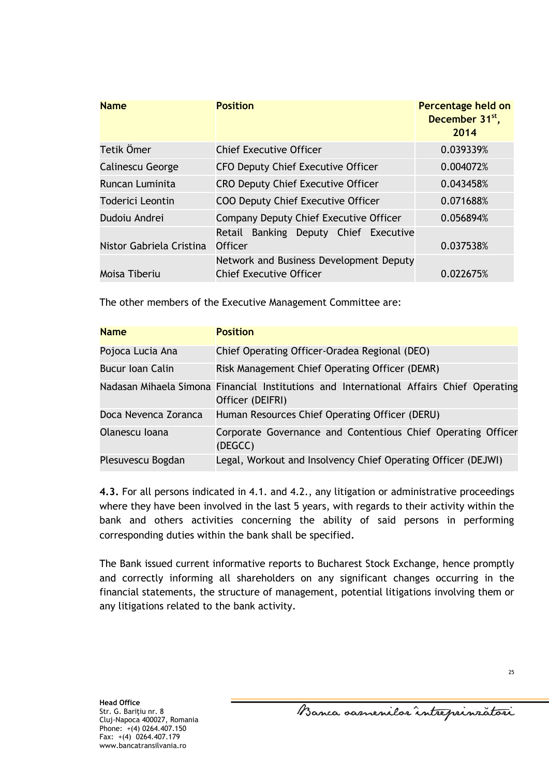| <b>Name</b>              | <b>Position</b>                                                           | Percentage held on<br>December 31 <sup>st</sup> ,<br>2014 |
|--------------------------|---------------------------------------------------------------------------|-----------------------------------------------------------|
| Tetik Ömer               | <b>Chief Executive Officer</b>                                            | 0.039339%                                                 |
| <b>Calinescu George</b>  | <b>CFO Deputy Chief Executive Officer</b>                                 | 0.004072%                                                 |
| Runcan Luminita          | <b>CRO Deputy Chief Executive Officer</b>                                 | 0.043458%                                                 |
| Toderici Leontin         | <b>COO Deputy Chief Executive Officer</b>                                 | 0.071688%                                                 |
| Dudoju Andrej            | Company Deputy Chief Executive Officer                                    | 0.056894%                                                 |
| Nistor Gabriela Cristina | Banking Deputy Chief Executive<br>Retail<br><b>Officer</b>                | 0.037538%                                                 |
| Moisa Tiberiu            | Network and Business Development Deputy<br><b>Chief Executive Officer</b> | 0.022675%                                                 |

The other members of the Executive Management Committee are:

| <b>Name</b>          | <b>Position</b>                                                                                             |
|----------------------|-------------------------------------------------------------------------------------------------------------|
| Pojoca Lucia Ana     | Chief Operating Officer-Oradea Regional (DEO)                                                               |
| Bucur Ioan Calin     | Risk Management Chief Operating Officer (DEMR)                                                              |
|                      | Nadasan Mihaela Simona Financial Institutions and International Affairs Chief Operating<br>Officer (DEIFRI) |
| Doca Nevenca Zoranca | Human Resources Chief Operating Officer (DERU)                                                              |
| Olanescu Ioana       | Corporate Governance and Contentious Chief Operating Officer<br>(DEGCC)                                     |
| Plesuvescu Bogdan    | Legal, Workout and Insolvency Chief Operating Officer (DEJWI)                                               |

**4.3.** For all persons indicated in 4.1. and 4.2., any litigation or administrative proceedings where they have been involved in the last 5 years, with regards to their activity within the bank and others activities concerning the ability of said persons in performing corresponding duties within the bank shall be specified.

The Bank issued current informative reports to Bucharest Stock Exchange, hence promptly and correctly informing all shareholders on any significant changes occurring in the financial statements, the structure of management, potential litigations involving them or any litigations related to the bank activity.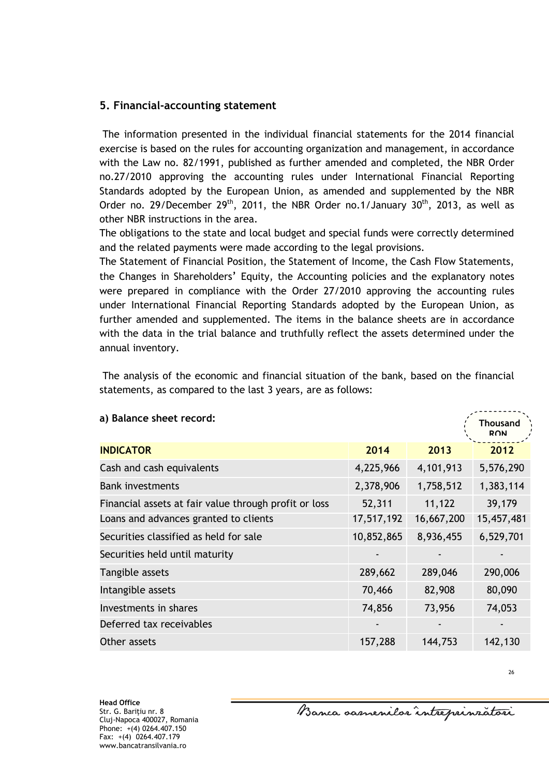## **5. Financial-accounting statement**

The information presented in the individual financial statements for the 2014 financial exercise is based on the rules for accounting organization and management, in accordance with the Law no. 82/1991, published as further amended and completed, the NBR Order no.27/2010 approving the accounting rules under International Financial Reporting Standards adopted by the European Union, as amended and supplemented by the NBR Order no. 29/December 29<sup>th</sup>, 2011, the NBR Order no.1/January 30<sup>th</sup>, 2013, as well as other NBR instructions in the area.

The obligations to the state and local budget and special funds were correctly determined and the related payments were made according to the legal provisions.

The Statement of Financial Position, the Statement of Income, the Cash Flow Statements, the Changes in Shareholders' Equity, the Accounting policies and the explanatory notes were prepared in compliance with the Order 27/2010 approving the accounting rules under International Financial Reporting Standards adopted by the European Union, as further amended and supplemented. The items in the balance sheets are in accordance with the data in the trial balance and truthfully reflect the assets determined under the annual inventory.

The analysis of the economic and financial situation of the bank, based on the financial statements, as compared to the last 3 years, are as follows:

| a) Balance sheet record:                              |            |            | <b>Thousand</b><br><b>RON</b> |
|-------------------------------------------------------|------------|------------|-------------------------------|
| <b>INDICATOR</b>                                      | 2014       | 2013       | 2012                          |
| Cash and cash equivalents                             | 4,225,966  | 4,101,913  | 5,576,290                     |
| <b>Bank investments</b>                               | 2,378,906  | 1,758,512  | 1,383,114                     |
| Financial assets at fair value through profit or loss | 52,311     | 11,122     | 39,179                        |
| Loans and advances granted to clients                 | 17,517,192 | 16,667,200 | 15,457,481                    |
| Securities classified as held for sale                | 10,852,865 | 8,936,455  | 6,529,701                     |
| Securities held until maturity                        |            |            |                               |
| Tangible assets                                       | 289,662    | 289,046    | 290,006                       |
| Intangible assets                                     | 70,466     | 82,908     | 80,090                        |
| Investments in shares                                 | 74,856     | 73,956     | 74,053                        |
| Deferred tax receivables                              |            |            |                               |
| Other assets                                          | 157,288    | 144,753    | 142,130                       |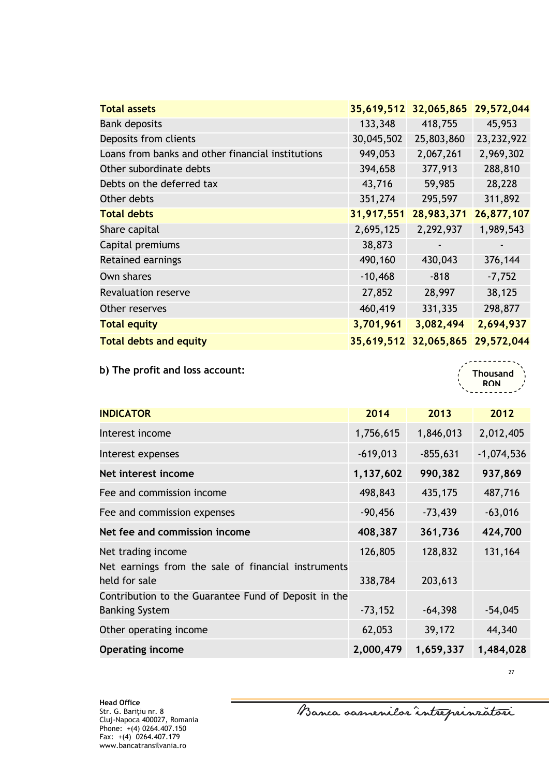| <b>Total assets</b>                               |            | 35,619,512 32,065,865 | 29,572,044   |
|---------------------------------------------------|------------|-----------------------|--------------|
| <b>Bank deposits</b>                              | 133,348    | 418,755               | 45,953       |
| Deposits from clients                             | 30,045,502 | 25,803,860            | 23, 232, 922 |
| Loans from banks and other financial institutions | 949,053    | 2,067,261             | 2,969,302    |
| Other subordinate debts                           | 394,658    | 377,913               | 288,810      |
| Debts on the deferred tax                         | 43,716     | 59,985                | 28,228       |
| Other debts                                       | 351,274    | 295,597               | 311,892      |
| <b>Total debts</b>                                | 31,917,551 | 28,983,371            | 26,877,107   |
| Share capital                                     | 2,695,125  | 2,292,937             | 1,989,543    |
| Capital premiums                                  | 38,873     |                       |              |
| Retained earnings                                 | 490,160    | 430,043               | 376,144      |
| Own shares                                        | $-10,468$  | $-818$                | $-7,752$     |
| <b>Revaluation reserve</b>                        | 27,852     | 28,997                | 38,125       |
| Other reserves                                    | 460,419    | 331,335               | 298,877      |
| <b>Total equity</b>                               | 3,701,961  | 3,082,494             | 2,694,937    |
| <b>Total debts and equity</b>                     |            | 35,619,512 32,065,865 | 29,572,044   |

**b) The profit and loss account:** 

**Thousand RON** 

| <b>INDICATOR</b>                                                     | 2014       | 2013       | 2012         |
|----------------------------------------------------------------------|------------|------------|--------------|
| Interest income                                                      | 1,756,615  | 1,846,013  | 2,012,405    |
| Interest expenses                                                    | $-619,013$ | $-855,631$ | $-1,074,536$ |
| Net interest income                                                  | 1,137,602  | 990,382    | 937,869      |
| Fee and commission income                                            | 498,843    | 435,175    | 487,716      |
| Fee and commission expenses                                          | $-90,456$  | $-73,439$  | $-63,016$    |
| Net fee and commission income                                        | 408,387    | 361,736    | 424,700      |
| Net trading income                                                   | 126,805    | 128,832    | 131,164      |
| Net earnings from the sale of financial instruments<br>held for sale | 338,784    | 203,613    |              |
| Contribution to the Guarantee Fund of Deposit in the                 |            |            |              |
| <b>Banking System</b>                                                | $-73,152$  | $-64,398$  | $-54,045$    |
| Other operating income                                               | 62,053     | 39,172     | 44,340       |
| <b>Operating income</b>                                              | 2,000,479  | 1,659,337  | 1,484,028    |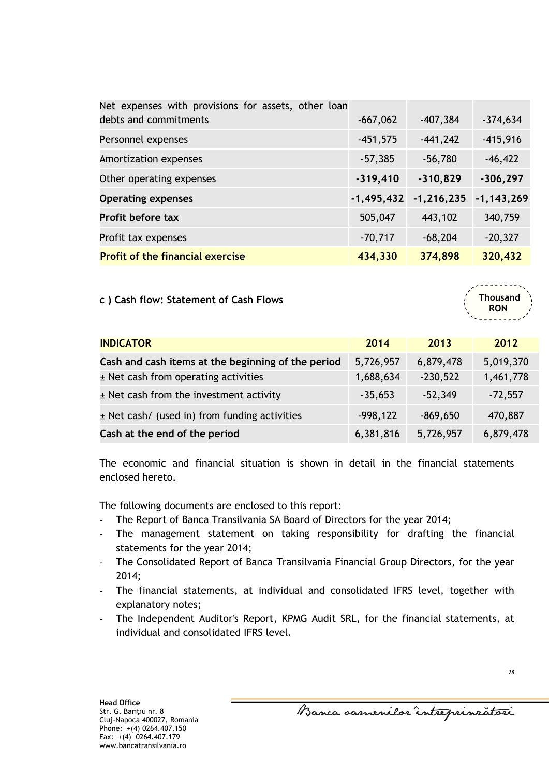| Net expenses with provisions for assets, other loan |              |                |                |
|-----------------------------------------------------|--------------|----------------|----------------|
| debts and commitments                               | $-667,062$   | $-407,384$     | $-374,634$     |
| Personnel expenses                                  | $-451,575$   | $-441,242$     | $-415,916$     |
| Amortization expenses                               | $-57,385$    | $-56,780$      | $-46,422$      |
| Other operating expenses                            | $-319,410$   | $-310,829$     | $-306, 297$    |
| <b>Operating expenses</b>                           | $-1,495,432$ | $-1, 216, 235$ | $-1, 143, 269$ |
| Profit before tax                                   | 505,047      | 443,102        | 340,759        |
| Profit tax expenses                                 | $-70,717$    | $-68,204$      | $-20,327$      |
| <b>Profit of the financial exercise</b>             | 434,330      | 374,898        | 320,432        |

**c ) Cash flow: Statement of Cash Flows**

**INDICATOR 2014 2013 2012 Cash and cash items at the beginning of the period**  $\left( 5,726,957 \right)$  **6,879,478**  $\left( 5,019,370 \right)$ ± Net cash from operating activities 1,688,634 -230,522 1,461,778  $\pm$  Net cash from the investment activity  $\overline{\phantom{0}}$   $\overline{\phantom{0}}$   $\overline{\phantom{0}}$   $\overline{\phantom{0}}$   $\overline{\phantom{0}}$   $\overline{\phantom{0}}$   $\overline{\phantom{0}}$   $\overline{\phantom{0}}$   $\overline{\phantom{0}}$   $\overline{\phantom{0}}$   $\overline{\phantom{0}}$   $\overline{\phantom{0}}$   $\overline{\phantom{0}}$   $\overline{\phantom{0}}$   $\overline{\phantom{0}}$  $\pm$  Net cash/ (used in) from funding activities  $\begin{array}{r} -998,122 \end{array}$  -869,650 470,887 **Cash at the end of the period** 6,381,816 5,726,957 6,879,478

The economic and financial situation is shown in detail in the financial statements enclosed hereto.

The following documents are enclosed to this report:

- The Report of Banca Transilvania SA Board of Directors for the year 2014;
- The management statement on taking responsibility for drafting the financial statements for the year 2014;
- The Consolidated Report of Banca Transilvania Financial Group Directors, for the year 2014;
- The financial statements, at individual and consolidated IFRS level, together with explanatory notes;
- The Independent Auditor's Report, KPMG Audit SRL, for the financial statements, at individual and consolidated IFRS level.

**Thousand RON**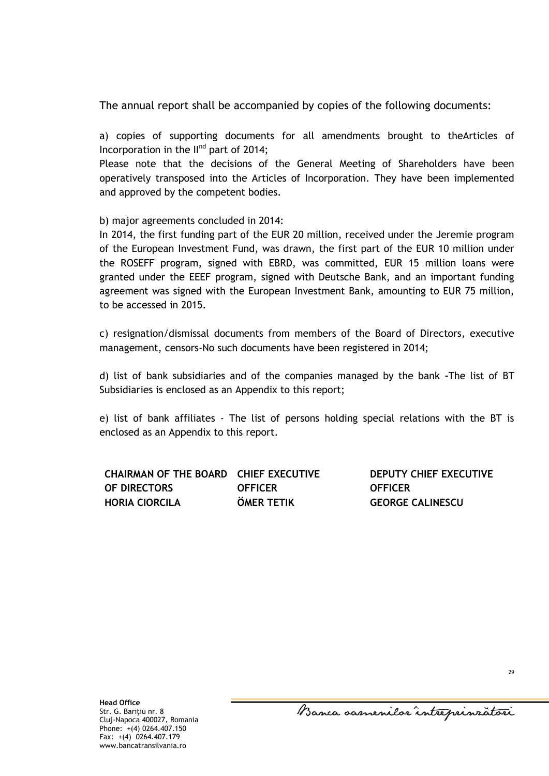The annual report shall be accompanied by copies of the following documents:

a) copies of supporting documents for all amendments brought to theArticles of Incorporation in the II<sup>nd</sup> part of 2014;

Please note that the decisions of the General Meeting of Shareholders have been operatively transposed into the Articles of Incorporation. They have been implemented and approved by the competent bodies.

b) major agreements concluded in 2014:

In 2014, the first funding part of the EUR 20 million, received under the Jeremie program of the European Investment Fund, was drawn, the first part of the EUR 10 million under the ROSEFF program, signed with EBRD, was committed, EUR 15 million loans were granted under the EEEF program, signed with Deutsche Bank, and an important funding agreement was signed with the European Investment Bank, amounting to EUR 75 million, to be accessed in 2015.

c) resignation/dismissal documents from members of the Board of Directors, executive management, censors-No such documents have been registered in 2014;

d) list of bank subsidiaries and of the companies managed by the bank **-**The list of BT Subsidiaries is enclosed as an Appendix to this report;

e) list of bank affiliates - The list of persons holding special relations with the BT is enclosed as an Appendix to this report.

| CHAIRMAN OF THE BOARD CHIEF EXECUTIVE |                   | DEI |
|---------------------------------------|-------------------|-----|
| OF DIRECTORS                          | <b>OFFICER</b>    | OFI |
| <b>HORIA CIORCILA</b>                 | <b>ÖMER TETIK</b> | GE( |

**DEPUTY CHIEF EXECUTIVE OFFICER ORGE CALINESCU**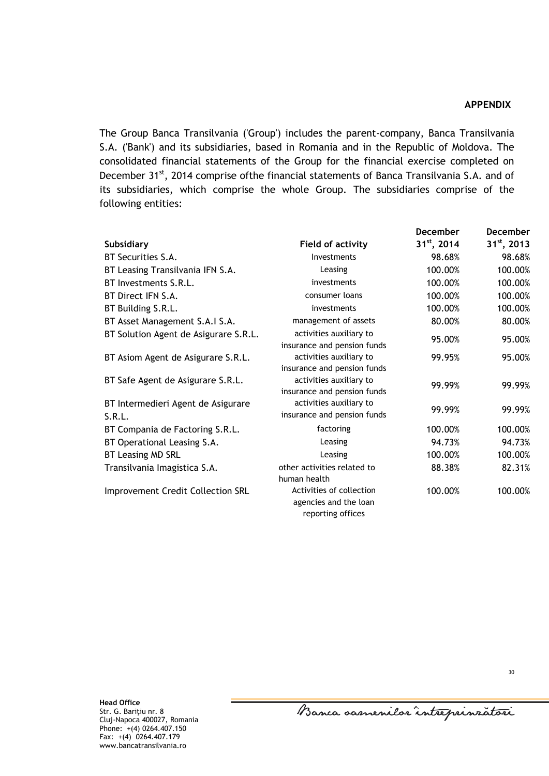#### **APPENDIX**

The Group Banca Transilvania ('Group') includes the parent-company, Banca Transilvania S.A. ('Bank') and its subsidiaries, based in Romania and in the Republic of Moldova. The consolidated financial statements of the Group for the financial exercise completed on December 31<sup>st</sup>, 2014 comprise ofthe financial statements of Banca Transilvania S.A. and of its subsidiaries, which comprise the whole Group. The subsidiaries comprise of the following entities:

|                                          |                             | <b>December</b>  | <b>December</b>  |
|------------------------------------------|-----------------------------|------------------|------------------|
| <b>Subsidiary</b>                        | <b>Field of activity</b>    | $31^{st}$ , 2014 | $31^{st}$ , 2013 |
| BT Securities S.A.                       | Investments                 | 98.68%           | 98.68%           |
| BT Leasing Transilvania IFN S.A.         | Leasing                     | 100.00%          | 100.00%          |
| BT Investments S.R.L.                    | investments                 | 100.00%          | 100.00%          |
| BT Direct IFN S.A.                       | consumer loans              | 100.00%          | 100.00%          |
| BT Building S.R.L.                       | investments                 | 100.00%          | 100.00%          |
| BT Asset Management S.A.I S.A.           | management of assets        | 80.00%           | 80.00%           |
| BT Solution Agent de Asigurare S.R.L.    | activities auxiliary to     | 95.00%           | 95.00%           |
|                                          | insurance and pension funds |                  |                  |
| BT Asiom Agent de Asigurare S.R.L.       | activities auxiliary to     | 99.95%           | 95.00%           |
|                                          | insurance and pension funds |                  |                  |
| BT Safe Agent de Asigurare S.R.L.        | activities auxiliary to     | 99.99%           | 99.99%           |
|                                          | insurance and pension funds |                  |                  |
| BT Intermedieri Agent de Asigurare       | activities auxiliary to     | 99.99%           | 99.99%           |
| S.R.L.                                   | insurance and pension funds |                  |                  |
| BT Compania de Factoring S.R.L.          | factoring                   | 100.00%          | 100.00%          |
| BT Operational Leasing S.A.              | Leasing                     | 94.73%           | 94.73%           |
| <b>BT Leasing MD SRL</b>                 | Leasing                     | 100.00%          | 100.00%          |
| Transilvania Imagistica S.A.             | other activities related to | 88.38%           | 82.31%           |
|                                          | human health                |                  |                  |
| <b>Improvement Credit Collection SRL</b> | Activities of collection    | 100.00%          | 100.00%          |
|                                          | agencies and the loan       |                  |                  |
|                                          | reporting offices           |                  |                  |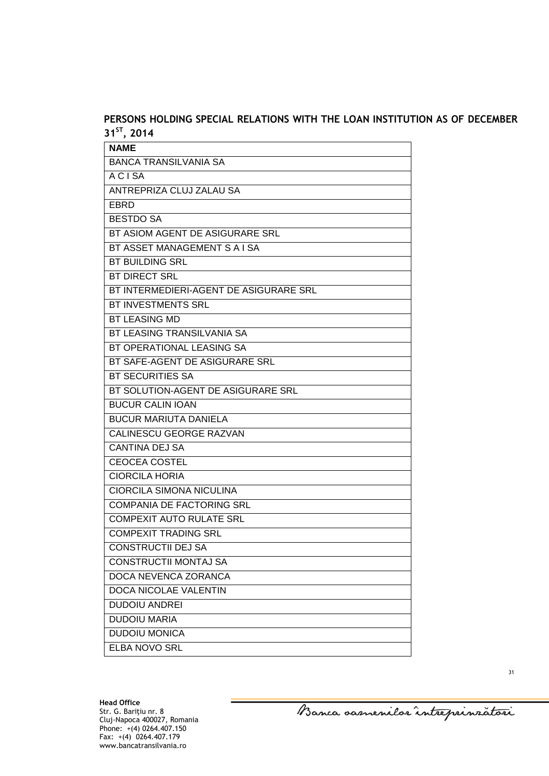## **PERSONS HOLDING SPECIAL RELATIONS WITH THE LOAN INSTITUTION AS OF DECEMBER 31ST, 2014**

| <b>NAME</b>                            |
|----------------------------------------|
| <b>BANCA TRANSILVANIA SA</b>           |
| <b>ACISA</b>                           |
| ANTREPRIZA CLUJ ZALAU SA               |
| EBRD                                   |
| <b>BESTDO SA</b>                       |
| BT ASIOM AGENT DE ASIGURARE SRL        |
| BT ASSET MANAGEMENT S A I SA           |
| <b>BT BUILDING SRL</b>                 |
| <b>BT DIRECT SRL</b>                   |
| BT INTERMEDIERI-AGENT DE ASIGURARE SRL |
| BT INVESTMENTS SRL                     |
| <b>BT LEASING MD</b>                   |
| BT LEASING TRANSILVANIA SA             |
| BT OPERATIONAL LEASING SA              |
| BT SAFE-AGENT DE ASIGURARE SRL         |
| <b>BT SECURITIES SA</b>                |
| BT SOLUTION-AGENT DE ASIGURARE SRL     |
| <b>BUCUR CALIN IOAN</b>                |
| <b>BUCUR MARIUTA DANIELA</b>           |
| CALINESCU GEORGE RAZVAN                |
| <b>CANTINA DEJ SA</b>                  |
| <b>CEOCEA COSTEL</b>                   |
| <b>CIORCILA HORIA</b>                  |
| <b>CIORCILA SIMONA NICULINA</b>        |
| <b>COMPANIA DE FACTORING SRL</b>       |
| <b>COMPEXIT AUTO RULATE SRL</b>        |
| <b>COMPEXIT TRADING SRL</b>            |
| <b>CONSTRUCTII DEJ SA</b>              |
| <b>CONSTRUCTII MONTAJ SA</b>           |
| DOCA NEVENCA ZORANCA                   |
| DOCA NICOLAE VALENTIN                  |
| <b>DUDOIU ANDREI</b>                   |
| <b>DUDOIU MARIA</b>                    |
| <b>DUDOIU MONICA</b>                   |
| <b>ELBA NOVO SRL</b>                   |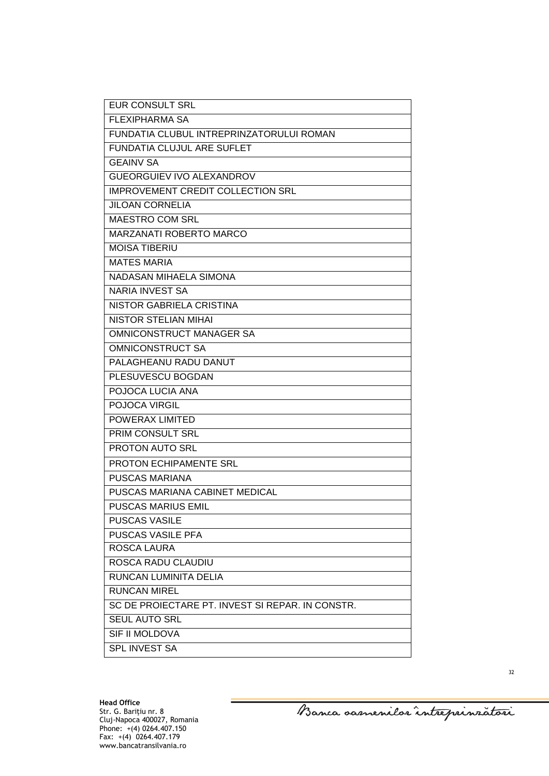| <b>EUR CONSULT SRL</b>                           |
|--------------------------------------------------|
| <b>FLEXIPHARMA SA</b>                            |
| FUNDATIA CLUBUL INTREPRINZATORULUI ROMAN         |
| <b>FUNDATIA CLUJUL ARE SUFLET</b>                |
| <b>GEAINV SA</b>                                 |
| <b>GUEORGUIEV IVO ALEXANDROV</b>                 |
| <b>IMPROVEMENT CREDIT COLLECTION SRL</b>         |
| <b>JILOAN CORNELIA</b>                           |
| <b>MAESTRO COM SRL</b>                           |
| <b>MARZANATI ROBERTO MARCO</b>                   |
| <b>MOISA TIBERIU</b>                             |
| <b>MATES MARIA</b>                               |
| NADASAN MIHAELA SIMONA                           |
| <b>NARIA INVEST SA</b>                           |
| NISTOR GABRIELA CRISTINA                         |
| <b>NISTOR STELIAN MIHAL</b>                      |
| OMNICONSTRUCT MANAGER SA                         |
| <b>OMNICONSTRUCT SA</b>                          |
| PALAGHEANU RADU DANUT                            |
| PLESUVESCU BOGDAN                                |
| POJOCA LUCIA ANA                                 |
| POJOCA VIRGIL                                    |
| POWERAX LIMITED                                  |
| PRIM CONSULT SRL                                 |
| PROTON AUTO SRL                                  |
| PROTON ECHIPAMENTE SRL                           |
| PUSCAS MARIANA                                   |
| PUSCAS MARIANA CABINET MEDICAL                   |
| <b>PUSCAS MARIUS EMIL</b>                        |
| <b>PUSCAS VASILE</b>                             |
| PUSCAS VASILE PFA                                |
| ROSCA LAURA                                      |
| <b>ROSCA RADU CLAUDIU</b>                        |
| RUNCAN LUMINITA DELIA                            |
| <b>RUNCAN MIREL</b>                              |
| SC DE PROIECTARE PT. INVEST SI REPAR. IN CONSTR. |
| <b>SEUL AUTO SRL</b>                             |
| SIF II MOLDOVA                                   |
| SPL INVEST SA                                    |

Banca oarnenilor întreprinzatori